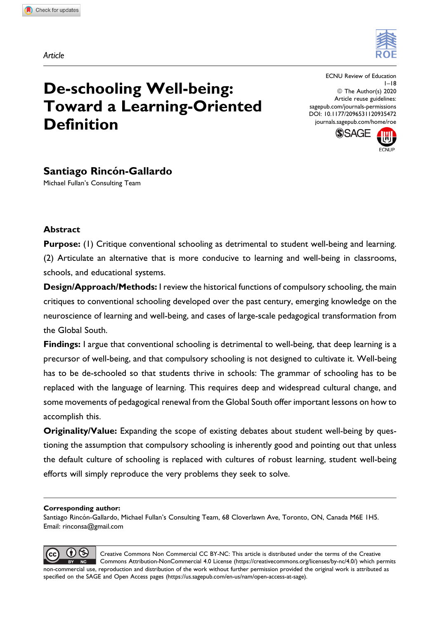



# De-schooling Well-being: Toward a Learning-Oriented **Definition**

ECNU Review of Education  $1 - 18$ © The Author(s) 2020 Article reuse guidelines: [sagepub.com/journals-permissions](https://sagepub.com/journals-permissions) [DOI: 10.1177/2096531120935472](https://doi.org/10.1177/2096531120935472) [journals.sagepub.com/home/roe](http://journals.sagepub.com/home/roe)



# Santiago Rincón-Gallardo

Michael Fullan's Consulting Team

## **Abstract**

**Purpose:** (1) Critique conventional schooling as detrimental to student well-being and learning. (2) Articulate an alternative that is more conducive to learning and well-being in classrooms, schools, and educational systems.

**Design/Approach/Methods:** I review the historical functions of compulsory schooling, the main critiques to conventional schooling developed over the past century, emerging knowledge on the neuroscience of learning and well-being, and cases of large-scale pedagogical transformation from the Global South.

Findings: I argue that conventional schooling is detrimental to well-being, that deep learning is a precursor of well-being, and that compulsory schooling is not designed to cultivate it. Well-being has to be de-schooled so that students thrive in schools: The grammar of schooling has to be replaced with the language of learning. This requires deep and widespread cultural change, and some movements of pedagogical renewal from the Global South offer important lessons on how to accomplish this.

**Originality/Value:** Expanding the scope of existing debates about student well-being by questioning the assumption that compulsory schooling is inherently good and pointing out that unless the default culture of schooling is replaced with cultures of robust learning, student well-being efforts will simply reproduce the very problems they seek to solve.

#### Corresponding author:

Santiago Rincón-Gallardo, Michael Fullan's Consulting Team, 68 Cloverlawn Ave, Toronto, ON, Canada M6E 1H5. Email: rinconsa@gmail.com



Creative Commons Non Commercial CC BY-NC: This article is distributed under the terms of the Creative Commons Attribution-NonCommercial 4.0 License [\(https://creativecommons.org/licenses/by-nc/4.0/](https://creativecommons.org/licenses/by-nc/4.0/)) which permits non-commercial use, reproduction and distribution of the work without further permission provided the original work is attributed as specified on the SAGE and Open Access pages [\(https://us.sagepub.com/en-us/nam/open-access-at-sage\)](https://us.sagepub.com/en-us/nam/open-access-at-sage).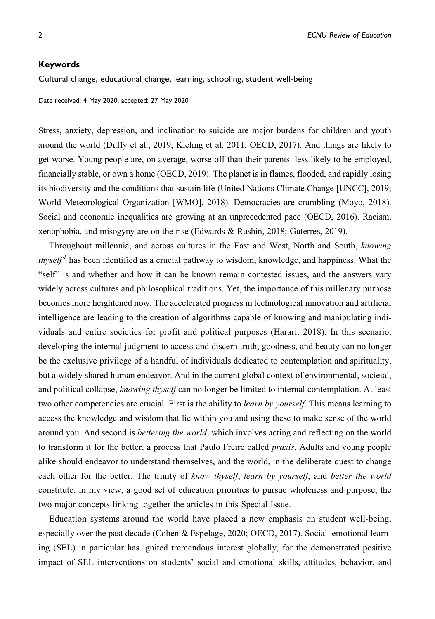#### Keywords

Cultural change, educational change, learning, schooling, student well-being

Date received: 4 May 2020; accepted: 27 May 2020

Stress, anxiety, depression, and inclination to suicide are major burdens for children and youth around the world (Duffy et al., 2019; Kieling et al, 2011; OECD, 2017). And things are likely to get worse. Young people are, on average, worse off than their parents: less likely to be employed, financially stable, or own a home (OECD, 2019). The planet is in flames, flooded, and rapidly losing its biodiversity and the conditions that sustain life (United Nations Climate Change [UNCC], 2019; World Meteorological Organization [WMO], 2018). Democracies are crumbling (Moyo, 2018). Social and economic inequalities are growing at an unprecedented pace (OECD, 2016). Racism, xenophobia, and misogyny are on the rise (Edwards & Rushin, 2018; Guterres, 2019).

Throughout millennia, and across cultures in the East and West, North and South, knowing thyself<sup>1</sup> has been identified as a crucial pathway to wisdom, knowledge, and happiness. What the "self" is and whether and how it can be known remain contested issues, and the answers vary widely across cultures and philosophical traditions. Yet, the importance of this millenary purpose becomes more heightened now. The accelerated progress in technological innovation and artificial intelligence are leading to the creation of algorithms capable of knowing and manipulating individuals and entire societies for profit and political purposes (Harari, 2018). In this scenario, developing the internal judgment to access and discern truth, goodness, and beauty can no longer be the exclusive privilege of a handful of individuals dedicated to contemplation and spirituality, but a widely shared human endeavor. And in the current global context of environmental, societal, and political collapse, knowing thyself can no longer be limited to internal contemplation. At least two other competencies are crucial. First is the ability to *learn by yourself*. This means learning to access the knowledge and wisdom that lie within you and using these to make sense of the world around you. And second is bettering the world, which involves acting and reflecting on the world to transform it for the better, a process that Paulo Freire called *praxis*. Adults and young people alike should endeavor to understand themselves, and the world, in the deliberate quest to change each other for the better. The trinity of know thyself, learn by yourself, and better the world constitute, in my view, a good set of education priorities to pursue wholeness and purpose, the two major concepts linking together the articles in this Special Issue.

Education systems around the world have placed a new emphasis on student well-being, especially over the past decade (Cohen & Espelage, 2020; OECD, 2017). Social–emotional learning (SEL) in particular has ignited tremendous interest globally, for the demonstrated positive impact of SEL interventions on students' social and emotional skills, attitudes, behavior, and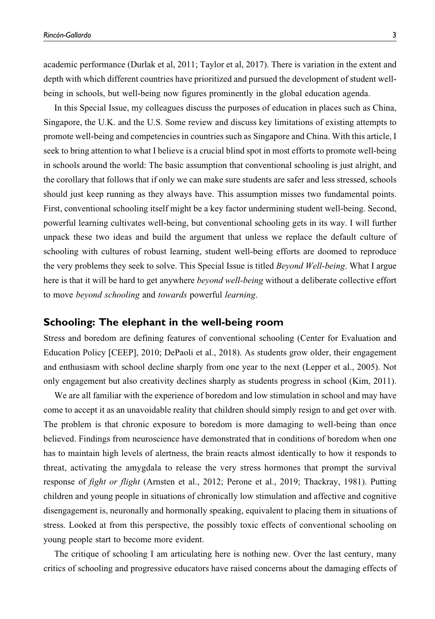academic performance (Durlak et al, 2011; Taylor et al, 2017). There is variation in the extent and depth with which different countries have prioritized and pursued the development of student wellbeing in schools, but well-being now figures prominently in the global education agenda.

In this Special Issue, my colleagues discuss the purposes of education in places such as China, Singapore, the U.K. and the U.S. Some review and discuss key limitations of existing attempts to promote well-being and competencies in countries such as Singapore and China. With this article, I seek to bring attention to what I believe is a crucial blind spot in most efforts to promote well-being in schools around the world: The basic assumption that conventional schooling is just alright, and the corollary that follows that if only we can make sure students are safer and less stressed, schools should just keep running as they always have. This assumption misses two fundamental points. First, conventional schooling itself might be a key factor undermining student well-being. Second, powerful learning cultivates well-being, but conventional schooling gets in its way. I will further unpack these two ideas and build the argument that unless we replace the default culture of schooling with cultures of robust learning, student well-being efforts are doomed to reproduce the very problems they seek to solve. This Special Issue is titled *Beyond Well-being*. What I argue here is that it will be hard to get anywhere *beyond well-being* without a deliberate collective effort to move beyond schooling and towards powerful learning.

## Schooling: The elephant in the well-being room

Stress and boredom are defining features of conventional schooling (Center for Evaluation and Education Policy [CEEP], 2010; DePaoli et al., 2018). As students grow older, their engagement and enthusiasm with school decline sharply from one year to the next (Lepper et al., 2005). Not only engagement but also creativity declines sharply as students progress in school (Kim, 2011).

We are all familiar with the experience of boredom and low stimulation in school and may have come to accept it as an unavoidable reality that children should simply resign to and get over with. The problem is that chronic exposure to boredom is more damaging to well-being than once believed. Findings from neuroscience have demonstrated that in conditions of boredom when one has to maintain high levels of alertness, the brain reacts almost identically to how it responds to threat, activating the amygdala to release the very stress hormones that prompt the survival response of *fight or flight* (Arnsten et al., 2012; Perone et al., 2019; Thackray, 1981). Putting children and young people in situations of chronically low stimulation and affective and cognitive disengagement is, neuronally and hormonally speaking, equivalent to placing them in situations of stress. Looked at from this perspective, the possibly toxic effects of conventional schooling on young people start to become more evident.

The critique of schooling I am articulating here is nothing new. Over the last century, many critics of schooling and progressive educators have raised concerns about the damaging effects of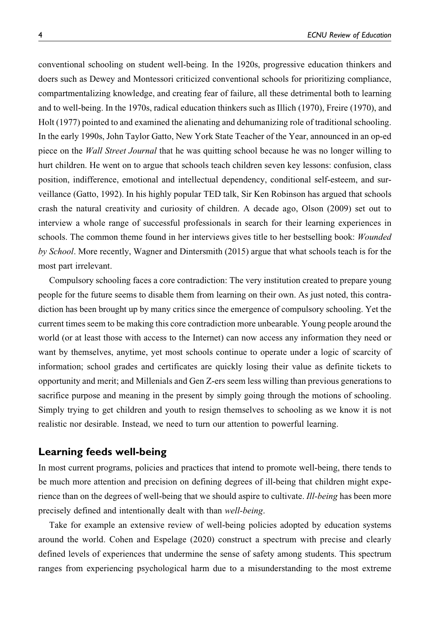conventional schooling on student well-being. In the 1920s, progressive education thinkers and doers such as Dewey and Montessori criticized conventional schools for prioritizing compliance, compartmentalizing knowledge, and creating fear of failure, all these detrimental both to learning and to well-being. In the 1970s, radical education thinkers such as Illich (1970), Freire (1970), and Holt (1977) pointed to and examined the alienating and dehumanizing role of traditional schooling. In the early 1990s, John Taylor Gatto, New York State Teacher of the Year, announced in an op-ed piece on the Wall Street Journal that he was quitting school because he was no longer willing to hurt children. He went on to argue that schools teach children seven key lessons: confusion, class position, indifference, emotional and intellectual dependency, conditional self-esteem, and surveillance (Gatto, 1992). In his highly popular TED talk, Sir Ken Robinson has argued that schools crash the natural creativity and curiosity of children. A decade ago, Olson (2009) set out to interview a whole range of successful professionals in search for their learning experiences in schools. The common theme found in her interviews gives title to her bestselling book: Wounded by School. More recently, Wagner and Dintersmith (2015) argue that what schools teach is for the most part irrelevant.

Compulsory schooling faces a core contradiction: The very institution created to prepare young people for the future seems to disable them from learning on their own. As just noted, this contradiction has been brought up by many critics since the emergence of compulsory schooling. Yet the current times seem to be making this core contradiction more unbearable. Young people around the world (or at least those with access to the Internet) can now access any information they need or want by themselves, anytime, yet most schools continue to operate under a logic of scarcity of information; school grades and certificates are quickly losing their value as definite tickets to opportunity and merit; and Millenials and Gen Z-ers seem less willing than previous generations to sacrifice purpose and meaning in the present by simply going through the motions of schooling. Simply trying to get children and youth to resign themselves to schooling as we know it is not realistic nor desirable. Instead, we need to turn our attention to powerful learning.

## Learning feeds well-being

In most current programs, policies and practices that intend to promote well-being, there tends to be much more attention and precision on defining degrees of ill-being that children might experience than on the degrees of well-being that we should aspire to cultivate. *Ill-being* has been more precisely defined and intentionally dealt with than well-being.

Take for example an extensive review of well-being policies adopted by education systems around the world. Cohen and Espelage (2020) construct a spectrum with precise and clearly defined levels of experiences that undermine the sense of safety among students. This spectrum ranges from experiencing psychological harm due to a misunderstanding to the most extreme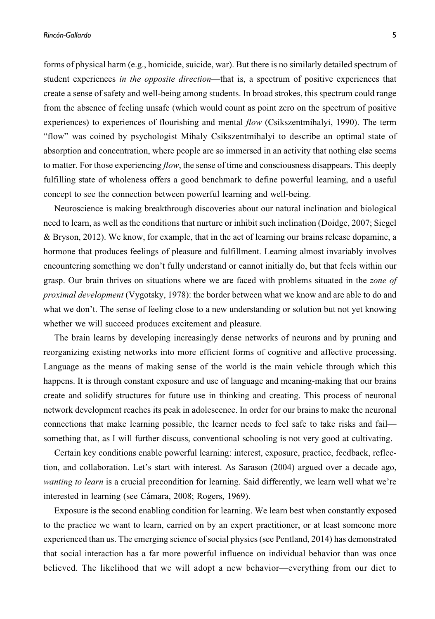forms of physical harm (e.g., homicide, suicide, war). But there is no similarly detailed spectrum of student experiences *in the opposite direction*—that is, a spectrum of positive experiences that create a sense of safety and well-being among students. In broad strokes, this spectrum could range from the absence of feeling unsafe (which would count as point zero on the spectrum of positive experiences) to experiences of flourishing and mental *flow* (Csikszentmihalyi, 1990). The term "flow" was coined by psychologist Mihaly Csikszentmihalyi to describe an optimal state of absorption and concentration, where people are so immersed in an activity that nothing else seems to matter. For those experiencing *flow*, the sense of time and consciousness disappears. This deeply fulfilling state of wholeness offers a good benchmark to define powerful learning, and a useful concept to see the connection between powerful learning and well-being.

Neuroscience is making breakthrough discoveries about our natural inclination and biological need to learn, as well as the conditions that nurture or inhibit such inclination (Doidge, 2007; Siegel & Bryson, 2012). We know, for example, that in the act of learning our brains release dopamine, a hormone that produces feelings of pleasure and fulfillment. Learning almost invariably involves encountering something we don't fully understand or cannot initially do, but that feels within our grasp. Our brain thrives on situations where we are faced with problems situated in the zone of proximal development (Vygotsky, 1978): the border between what we know and are able to do and what we don't. The sense of feeling close to a new understanding or solution but not yet knowing whether we will succeed produces excitement and pleasure.

The brain learns by developing increasingly dense networks of neurons and by pruning and reorganizing existing networks into more efficient forms of cognitive and affective processing. Language as the means of making sense of the world is the main vehicle through which this happens. It is through constant exposure and use of language and meaning-making that our brains create and solidify structures for future use in thinking and creating. This process of neuronal network development reaches its peak in adolescence. In order for our brains to make the neuronal connections that make learning possible, the learner needs to feel safe to take risks and fail something that, as I will further discuss, conventional schooling is not very good at cultivating.

Certain key conditions enable powerful learning: interest, exposure, practice, feedback, reflection, and collaboration. Let's start with interest. As Sarason (2004) argued over a decade ago, wanting to learn is a crucial precondition for learning. Said differently, we learn well what we're interested in learning (see Cámara, 2008; Rogers, 1969).

Exposure is the second enabling condition for learning. We learn best when constantly exposed to the practice we want to learn, carried on by an expert practitioner, or at least someone more experienced than us. The emerging science of social physics (see Pentland, 2014) has demonstrated that social interaction has a far more powerful influence on individual behavior than was once believed. The likelihood that we will adopt a new behavior—everything from our diet to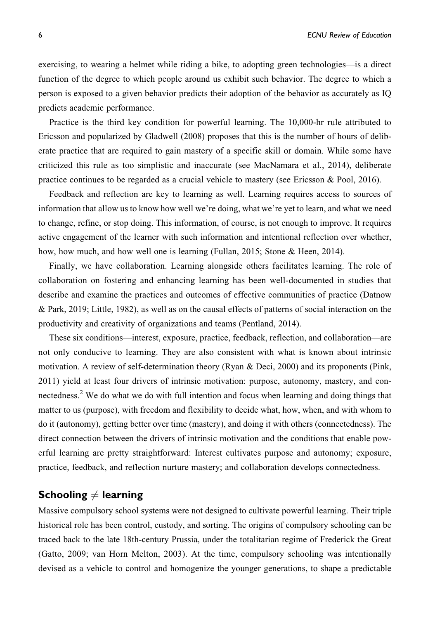exercising, to wearing a helmet while riding a bike, to adopting green technologies—is a direct function of the degree to which people around us exhibit such behavior. The degree to which a person is exposed to a given behavior predicts their adoption of the behavior as accurately as IQ predicts academic performance.

Practice is the third key condition for powerful learning. The 10,000-hr rule attributed to Ericsson and popularized by Gladwell (2008) proposes that this is the number of hours of deliberate practice that are required to gain mastery of a specific skill or domain. While some have criticized this rule as too simplistic and inaccurate (see MacNamara et al., 2014), deliberate practice continues to be regarded as a crucial vehicle to mastery (see Ericsson & Pool, 2016).

Feedback and reflection are key to learning as well. Learning requires access to sources of information that allow us to know how well we're doing, what we're yet to learn, and what we need to change, refine, or stop doing. This information, of course, is not enough to improve. It requires active engagement of the learner with such information and intentional reflection over whether, how, how much, and how well one is learning (Fullan, 2015; Stone & Heen, 2014).

Finally, we have collaboration. Learning alongside others facilitates learning. The role of collaboration on fostering and enhancing learning has been well-documented in studies that describe and examine the practices and outcomes of effective communities of practice (Datnow & Park, 2019; Little, 1982), as well as on the causal effects of patterns of social interaction on the productivity and creativity of organizations and teams (Pentland, 2014).

These six conditions—interest, exposure, practice, feedback, reflection, and collaboration—are not only conducive to learning. They are also consistent with what is known about intrinsic motivation. A review of self-determination theory (Ryan & Deci, 2000) and its proponents (Pink, 2011) yield at least four drivers of intrinsic motivation: purpose, autonomy, mastery, and connectedness.<sup>2</sup> We do what we do with full intention and focus when learning and doing things that matter to us (purpose), with freedom and flexibility to decide what, how, when, and with whom to do it (autonomy), getting better over time (mastery), and doing it with others (connectedness). The direct connection between the drivers of intrinsic motivation and the conditions that enable powerful learning are pretty straightforward: Interest cultivates purpose and autonomy; exposure, practice, feedback, and reflection nurture mastery; and collaboration develops connectedness.

# Schooling  $\neq$  learning

Massive compulsory school systems were not designed to cultivate powerful learning. Their triple historical role has been control, custody, and sorting. The origins of compulsory schooling can be traced back to the late 18th-century Prussia, under the totalitarian regime of Frederick the Great (Gatto, 2009; van Horn Melton, 2003). At the time, compulsory schooling was intentionally devised as a vehicle to control and homogenize the younger generations, to shape a predictable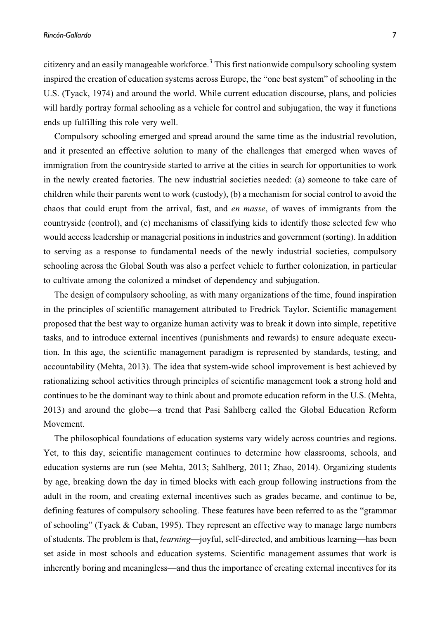citizenry and an easily manageable workforce.<sup>3</sup> This first nationwide compulsory schooling system inspired the creation of education systems across Europe, the "one best system" of schooling in the U.S. (Tyack, 1974) and around the world. While current education discourse, plans, and policies will hardly portray formal schooling as a vehicle for control and subjugation, the way it functions ends up fulfilling this role very well.

Compulsory schooling emerged and spread around the same time as the industrial revolution, and it presented an effective solution to many of the challenges that emerged when waves of immigration from the countryside started to arrive at the cities in search for opportunities to work in the newly created factories. The new industrial societies needed: (a) someone to take care of children while their parents went to work (custody), (b) a mechanism for social control to avoid the chaos that could erupt from the arrival, fast, and en masse, of waves of immigrants from the countryside (control), and (c) mechanisms of classifying kids to identify those selected few who would access leadership or managerial positions in industries and government (sorting). In addition to serving as a response to fundamental needs of the newly industrial societies, compulsory schooling across the Global South was also a perfect vehicle to further colonization, in particular to cultivate among the colonized a mindset of dependency and subjugation.

The design of compulsory schooling, as with many organizations of the time, found inspiration in the principles of scientific management attributed to Fredrick Taylor. Scientific management proposed that the best way to organize human activity was to break it down into simple, repetitive tasks, and to introduce external incentives (punishments and rewards) to ensure adequate execution. In this age, the scientific management paradigm is represented by standards, testing, and accountability (Mehta, 2013). The idea that system-wide school improvement is best achieved by rationalizing school activities through principles of scientific management took a strong hold and continues to be the dominant way to think about and promote education reform in the U.S. (Mehta, 2013) and around the globe—a trend that Pasi Sahlberg called the Global Education Reform Movement.

The philosophical foundations of education systems vary widely across countries and regions. Yet, to this day, scientific management continues to determine how classrooms, schools, and education systems are run (see Mehta, 2013; Sahlberg, 2011; Zhao, 2014). Organizing students by age, breaking down the day in timed blocks with each group following instructions from the adult in the room, and creating external incentives such as grades became, and continue to be, defining features of compulsory schooling. These features have been referred to as the "grammar of schooling" (Tyack & Cuban, 1995). They represent an effective way to manage large numbers of students. The problem is that, learning—joyful, self-directed, and ambitious learning—has been set aside in most schools and education systems. Scientific management assumes that work is inherently boring and meaningless—and thus the importance of creating external incentives for its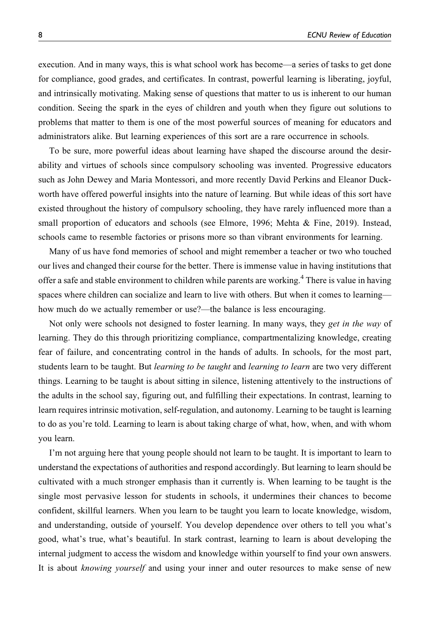execution. And in many ways, this is what school work has become—a series of tasks to get done for compliance, good grades, and certificates. In contrast, powerful learning is liberating, joyful, and intrinsically motivating. Making sense of questions that matter to us is inherent to our human condition. Seeing the spark in the eyes of children and youth when they figure out solutions to problems that matter to them is one of the most powerful sources of meaning for educators and administrators alike. But learning experiences of this sort are a rare occurrence in schools.

To be sure, more powerful ideas about learning have shaped the discourse around the desirability and virtues of schools since compulsory schooling was invented. Progressive educators such as John Dewey and Maria Montessori, and more recently David Perkins and Eleanor Duckworth have offered powerful insights into the nature of learning. But while ideas of this sort have existed throughout the history of compulsory schooling, they have rarely influenced more than a small proportion of educators and schools (see Elmore, 1996; Mehta & Fine, 2019). Instead, schools came to resemble factories or prisons more so than vibrant environments for learning.

Many of us have fond memories of school and might remember a teacher or two who touched our lives and changed their course for the better. There is immense value in having institutions that offer a safe and stable environment to children while parents are working.<sup>4</sup> There is value in having spaces where children can socialize and learn to live with others. But when it comes to learning how much do we actually remember or use?—the balance is less encouraging.

Not only were schools not designed to foster learning. In many ways, they get in the way of learning. They do this through prioritizing compliance, compartmentalizing knowledge, creating fear of failure, and concentrating control in the hands of adults. In schools, for the most part, students learn to be taught. But *learning to be taught* and *learning to learn* are two very different things. Learning to be taught is about sitting in silence, listening attentively to the instructions of the adults in the school say, figuring out, and fulfilling their expectations. In contrast, learning to learn requires intrinsic motivation, self-regulation, and autonomy. Learning to be taught is learning to do as you're told. Learning to learn is about taking charge of what, how, when, and with whom you learn.

I'm not arguing here that young people should not learn to be taught. It is important to learn to understand the expectations of authorities and respond accordingly. But learning to learn should be cultivated with a much stronger emphasis than it currently is. When learning to be taught is the single most pervasive lesson for students in schools, it undermines their chances to become confident, skillful learners. When you learn to be taught you learn to locate knowledge, wisdom, and understanding, outside of yourself. You develop dependence over others to tell you what's good, what's true, what's beautiful. In stark contrast, learning to learn is about developing the internal judgment to access the wisdom and knowledge within yourself to find your own answers. It is about knowing yourself and using your inner and outer resources to make sense of new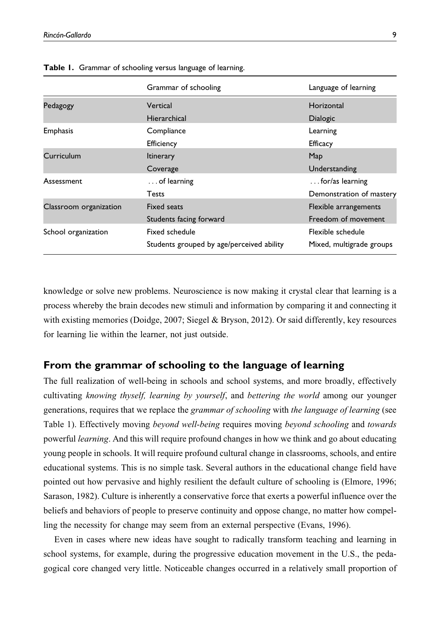|                        | Grammar of schooling                      | Language of learning     |
|------------------------|-------------------------------------------|--------------------------|
| Pedagogy               | Vertical                                  | Horizontal               |
|                        | Hierarchical                              | Dialogic                 |
| Emphasis               | Compliance                                | Learning                 |
|                        | Efficiency                                | Efficacy                 |
| Curriculum             | <b>Itinerary</b>                          | Map                      |
|                        | Coverage                                  | Understanding            |
| Assessment             | $\ldots$ of learning                      | $\dots$ for/as learning  |
|                        | Tests                                     | Demonstration of mastery |
| Classroom organization | Fixed seats                               | Flexible arrangements    |
|                        | Students facing forward                   | Freedom of movement      |
| School organization    | Fixed schedule                            | Flexible schedule        |
|                        | Students grouped by age/perceived ability | Mixed, multigrade groups |

Table 1. Grammar of schooling versus language of learning.

knowledge or solve new problems. Neuroscience is now making it crystal clear that learning is a process whereby the brain decodes new stimuli and information by comparing it and connecting it with existing memories (Doidge, 2007; Siegel & Bryson, 2012). Or said differently, key resources for learning lie within the learner, not just outside.

#### From the grammar of schooling to the language of learning

The full realization of well-being in schools and school systems, and more broadly, effectively cultivating knowing thyself, learning by yourself, and bettering the world among our younger generations, requires that we replace the grammar of schooling with the language of learning (see Table 1). Effectively moving beyond well-being requires moving beyond schooling and towards powerful learning. And this will require profound changes in how we think and go about educating young people in schools. It will require profound cultural change in classrooms, schools, and entire educational systems. This is no simple task. Several authors in the educational change field have pointed out how pervasive and highly resilient the default culture of schooling is (Elmore, 1996; Sarason, 1982). Culture is inherently a conservative force that exerts a powerful influence over the beliefs and behaviors of people to preserve continuity and oppose change, no matter how compelling the necessity for change may seem from an external perspective (Evans, 1996).

Even in cases where new ideas have sought to radically transform teaching and learning in school systems, for example, during the progressive education movement in the U.S., the pedagogical core changed very little. Noticeable changes occurred in a relatively small proportion of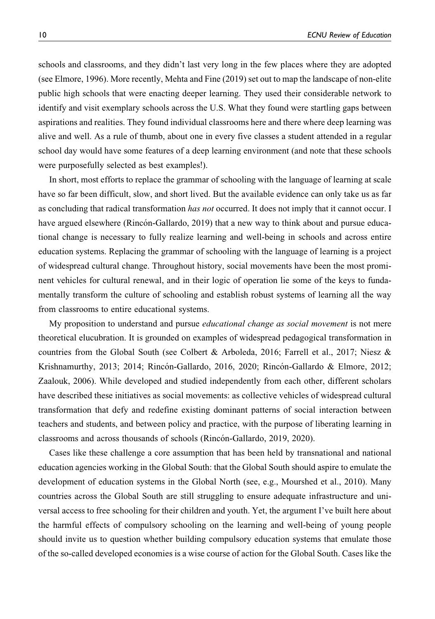schools and classrooms, and they didn't last very long in the few places where they are adopted (see Elmore, 1996). More recently, Mehta and Fine (2019) set out to map the landscape of non-elite public high schools that were enacting deeper learning. They used their considerable network to identify and visit exemplary schools across the U.S. What they found were startling gaps between aspirations and realities. They found individual classrooms here and there where deep learning was alive and well. As a rule of thumb, about one in every five classes a student attended in a regular school day would have some features of a deep learning environment (and note that these schools were purposefully selected as best examples!).

In short, most efforts to replace the grammar of schooling with the language of learning at scale have so far been difficult, slow, and short lived. But the available evidence can only take us as far as concluding that radical transformation has not occurred. It does not imply that it cannot occur. I have argued elsewhere (Rincón-Gallardo, 2019) that a new way to think about and pursue educational change is necessary to fully realize learning and well-being in schools and across entire education systems. Replacing the grammar of schooling with the language of learning is a project of widespread cultural change. Throughout history, social movements have been the most prominent vehicles for cultural renewal, and in their logic of operation lie some of the keys to fundamentally transform the culture of schooling and establish robust systems of learning all the way from classrooms to entire educational systems.

My proposition to understand and pursue *educational change as social movement* is not mere theoretical elucubration. It is grounded on examples of widespread pedagogical transformation in countries from the Global South (see Colbert & Arboleda, 2016; Farrell et al., 2017; Niesz & Krishnamurthy, 2013; 2014; Rincón-Gallardo, 2016, 2020; Rincón-Gallardo & Elmore, 2012; Zaalouk, 2006). While developed and studied independently from each other, different scholars have described these initiatives as social movements: as collective vehicles of widespread cultural transformation that defy and redefine existing dominant patterns of social interaction between teachers and students, and between policy and practice, with the purpose of liberating learning in classrooms and across thousands of schools (Rincón-Gallardo, 2019, 2020).

Cases like these challenge a core assumption that has been held by transnational and national education agencies working in the Global South: that the Global South should aspire to emulate the development of education systems in the Global North (see, e.g., Mourshed et al., 2010). Many countries across the Global South are still struggling to ensure adequate infrastructure and universal access to free schooling for their children and youth. Yet, the argument I've built here about the harmful effects of compulsory schooling on the learning and well-being of young people should invite us to question whether building compulsory education systems that emulate those of the so-called developed economies is a wise course of action for the Global South. Cases like the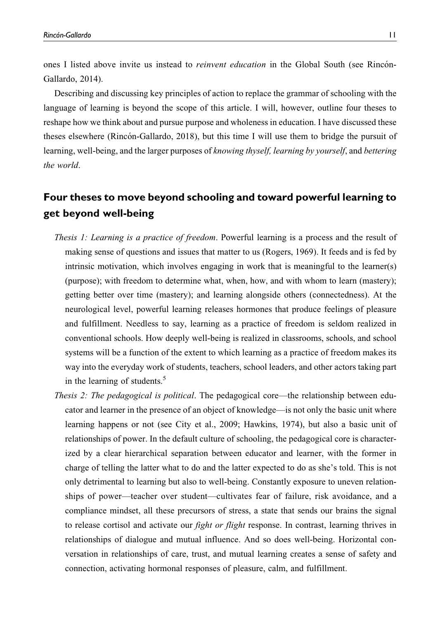ones I listed above invite us instead to *reinvent education* in the Global South (see Rincon-Gallardo, 2014).

Describing and discussing key principles of action to replace the grammar of schooling with the language of learning is beyond the scope of this article. I will, however, outline four theses to reshape how we think about and pursue purpose and wholeness in education. I have discussed these theses elsewhere (Rincón-Gallardo, 2018), but this time I will use them to bridge the pursuit of learning, well-being, and the larger purposes of knowing thyself, learning by yourself, and bettering the world.

# Four theses to move beyond schooling and toward powerful learning to get beyond well-being

- Thesis 1: Learning is a practice of freedom. Powerful learning is a process and the result of making sense of questions and issues that matter to us (Rogers, 1969). It feeds and is fed by intrinsic motivation, which involves engaging in work that is meaningful to the learner(s) (purpose); with freedom to determine what, when, how, and with whom to learn (mastery); getting better over time (mastery); and learning alongside others (connectedness). At the neurological level, powerful learning releases hormones that produce feelings of pleasure and fulfillment. Needless to say, learning as a practice of freedom is seldom realized in conventional schools. How deeply well-being is realized in classrooms, schools, and school systems will be a function of the extent to which learning as a practice of freedom makes its way into the everyday work of students, teachers, school leaders, and other actors taking part in the learning of students. $5$
- Thesis 2: The pedagogical is political. The pedagogical core—the relationship between educator and learner in the presence of an object of knowledge—is not only the basic unit where learning happens or not (see City et al., 2009; Hawkins, 1974), but also a basic unit of relationships of power. In the default culture of schooling, the pedagogical core is characterized by a clear hierarchical separation between educator and learner, with the former in charge of telling the latter what to do and the latter expected to do as she's told. This is not only detrimental to learning but also to well-being. Constantly exposure to uneven relationships of power—teacher over student—cultivates fear of failure, risk avoidance, and a compliance mindset, all these precursors of stress, a state that sends our brains the signal to release cortisol and activate our *fight or flight* response. In contrast, learning thrives in relationships of dialogue and mutual influence. And so does well-being. Horizontal conversation in relationships of care, trust, and mutual learning creates a sense of safety and connection, activating hormonal responses of pleasure, calm, and fulfillment.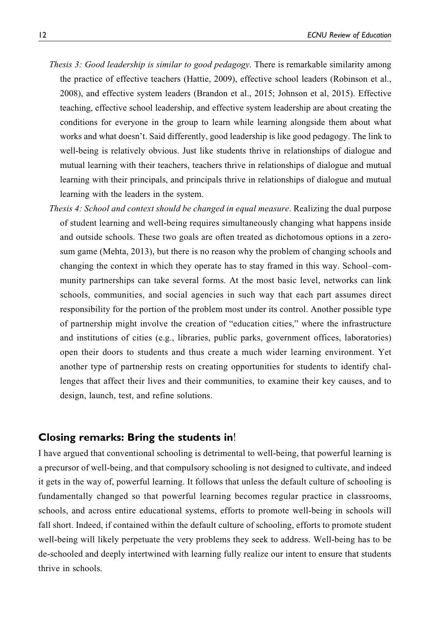- Thesis 3: Good leadership is similar to good pedagogy. There is remarkable similarity among the practice of effective teachers (Hattie, 2009), effective school leaders (Robinson et al., 2008), and effective system leaders (Brandon et al., 2015; Johnson et al, 2015). Effective teaching, effective school leadership, and effective system leadership are about creating the conditions for everyone in the group to learn while learning alongside them about what works and what doesn't. Said differently, good leadership is like good pedagogy. The link to well-being is relatively obvious. Just like students thrive in relationships of dialogue and mutual learning with their teachers, teachers thrive in relationships of dialogue and mutual learning with their principals, and principals thrive in relationships of dialogue and mutual learning with the leaders in the system.
- Thesis 4: School and context should be changed in equal measure. Realizing the dual purpose of student learning and well-being requires simultaneously changing what happens inside and outside schools. These two goals are often treated as dichotomous options in a zerosum game (Mehta, 2013), but there is no reason why the problem of changing schools and changing the context in which they operate has to stay framed in this way. School–community partnerships can take several forms. At the most basic level, networks can link schools, communities, and social agencies in such way that each part assumes direct responsibility for the portion of the problem most under its control. Another possible type of partnership might involve the creation of "education cities," where the infrastructure and institutions of cities (e.g., libraries, public parks, government offices, laboratories) open their doors to students and thus create a much wider learning environment. Yet another type of partnership rests on creating opportunities for students to identify challenges that affect their lives and their communities, to examine their key causes, and to design, launch, test, and refine solutions.

#### Closing remarks: Bring the students in!

I have argued that conventional schooling is detrimental to well-being, that powerful learning is a precursor of well-being, and that compulsory schooling is not designed to cultivate, and indeed it gets in the way of, powerful learning. It follows that unless the default culture of schooling is fundamentally changed so that powerful learning becomes regular practice in classrooms, schools, and across entire educational systems, efforts to promote well-being in schools will fall short. Indeed, if contained within the default culture of schooling, efforts to promote student well-being will likely perpetuate the very problems they seek to address. Well-being has to be de-schooled and deeply intertwined with learning fully realize our intent to ensure that students thrive in schools.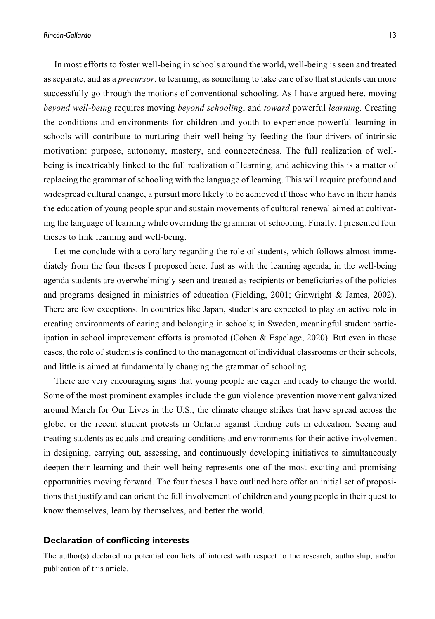In most efforts to foster well-being in schools around the world, well-being is seen and treated as separate, and as a *precursor*, to learning, as something to take care of so that students can more successfully go through the motions of conventional schooling. As I have argued here, moving beyond well-being requires moving beyond schooling, and toward powerful learning. Creating the conditions and environments for children and youth to experience powerful learning in schools will contribute to nurturing their well-being by feeding the four drivers of intrinsic motivation: purpose, autonomy, mastery, and connectedness. The full realization of wellbeing is inextricably linked to the full realization of learning, and achieving this is a matter of replacing the grammar of schooling with the language of learning. This will require profound and widespread cultural change, a pursuit more likely to be achieved if those who have in their hands the education of young people spur and sustain movements of cultural renewal aimed at cultivating the language of learning while overriding the grammar of schooling. Finally, I presented four theses to link learning and well-being.

Let me conclude with a corollary regarding the role of students, which follows almost immediately from the four theses I proposed here. Just as with the learning agenda, in the well-being agenda students are overwhelmingly seen and treated as recipients or beneficiaries of the policies and programs designed in ministries of education (Fielding, 2001; Ginwright & James, 2002). There are few exceptions. In countries like Japan, students are expected to play an active role in creating environments of caring and belonging in schools; in Sweden, meaningful student participation in school improvement efforts is promoted (Cohen  $\&$  Espelage, 2020). But even in these cases, the role of students is confined to the management of individual classrooms or their schools, and little is aimed at fundamentally changing the grammar of schooling.

There are very encouraging signs that young people are eager and ready to change the world. Some of the most prominent examples include the gun violence prevention movement galvanized around March for Our Lives in the U.S., the climate change strikes that have spread across the globe, or the recent student protests in Ontario against funding cuts in education. Seeing and treating students as equals and creating conditions and environments for their active involvement in designing, carrying out, assessing, and continuously developing initiatives to simultaneously deepen their learning and their well-being represents one of the most exciting and promising opportunities moving forward. The four theses I have outlined here offer an initial set of propositions that justify and can orient the full involvement of children and young people in their quest to know themselves, learn by themselves, and better the world.

#### Declaration of conflicting interests

The author(s) declared no potential conflicts of interest with respect to the research, authorship, and/or publication of this article.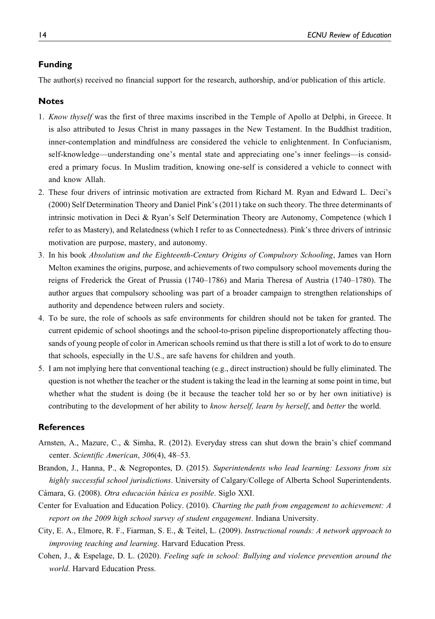## Funding

The author(s) received no financial support for the research, authorship, and/or publication of this article.

#### **Notes**

- 1. Know thyself was the first of three maxims inscribed in the Temple of Apollo at Delphi, in Greece. It is also attributed to Jesus Christ in many passages in the New Testament. In the Buddhist tradition, inner-contemplation and mindfulness are considered the vehicle to enlightenment. In Confucianism, self-knowledge—understanding one's mental state and appreciating one's inner feelings—is considered a primary focus. In Muslim tradition, knowing one-self is considered a vehicle to connect with and know Allah.
- 2. These four drivers of intrinsic motivation are extracted from Richard M. Ryan and Edward L. Deci's (2000) Self Determination Theory and Daniel Pink's (2011) take on such theory. The three determinants of intrinsic motivation in Deci & Ryan's Self Determination Theory are Autonomy, Competence (which I refer to as Mastery), and Relatedness (which I refer to as Connectedness). Pink's three drivers of intrinsic motivation are purpose, mastery, and autonomy.
- 3. In his book Absolutism and the Eighteenth-Century Origins of Compulsory Schooling, James van Horn Melton examines the origins, purpose, and achievements of two compulsory school movements during the reigns of Frederick the Great of Prussia (1740–1786) and Maria Theresa of Austria (1740–1780). The author argues that compulsory schooling was part of a broader campaign to strengthen relationships of authority and dependence between rulers and society.
- 4. To be sure, the role of schools as safe environments for children should not be taken for granted. The current epidemic of school shootings and the school-to-prison pipeline disproportionately affecting thousands of young people of color in American schools remind us that there is still a lot of work to do to ensure that schools, especially in the U.S., are safe havens for children and youth.
- 5. I am not implying here that conventional teaching (e.g., direct instruction) should be fully eliminated. The question is not whether the teacher or the student is taking the lead in the learning at some point in time, but whether what the student is doing (be it because the teacher told her so or by her own initiative) is contributing to the development of her ability to know herself, learn by herself, and better the world.

#### References

- Arnsten, A., Mazure, C., & Simha, R. (2012). Everyday stress can shut down the brain's chief command center. Scientific American, 306(4), 48–53.
- Brandon, J., Hanna, P., & Negropontes, D. (2015). Superintendents who lead learning: Lessons from six highly successful school jurisdictions. University of Calgary/College of Alberta School Superintendents. Cámara, G. (2008). Otra educación básica es posible. Siglo XXI.
- Center for Evaluation and Education Policy. (2010). Charting the path from engagement to achievement: A report on the 2009 high school survey of student engagement. Indiana University.
- City, E. A., Elmore, R. F., Fiarman, S. E., & Teitel, L. (2009). Instructional rounds: A network approach to improving teaching and learning. Harvard Education Press.
- Cohen, J., & Espelage, D. L. (2020). Feeling safe in school: Bullying and violence prevention around the world. Harvard Education Press.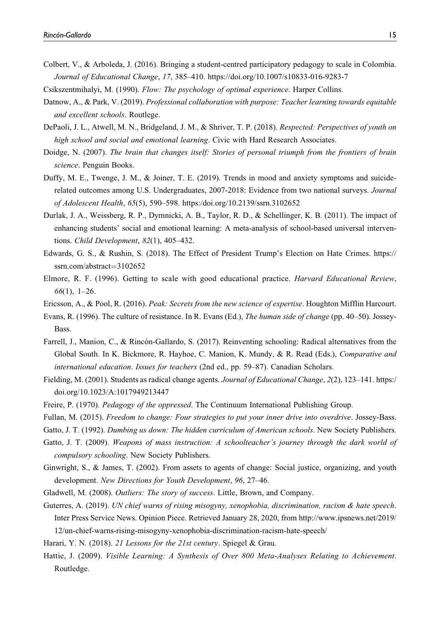Colbert, V., & Arboleda, J. (2016). Bringing a student-centred participatory pedagogy to scale in Colombia. Journal of Educational Change, 17, 385–410. [https://doi.org/10.1007/s10833-016-9283-7](http://10.1007/s10833-016-9283-7)

Csikszentmihalyi, M. (1990). Flow: The psychology of optimal experience. Harper Collins.

- Datnow, A., & Park, V. (2019). Professional collaboration with purpose: Teacher learning towards equitable and excellent schools. Routlege.
- DePaoli, J. L., Atwell, M. N., Bridgeland, J. M., & Shriver, T. P. (2018). Respected: Perspectives of youth on high school and social and emotional learning. Civic with Hard Research Associates.
- Doidge, N. (2007). The brain that changes itself: Stories of personal triumph from the frontiers of brain science. Penguin Books.
- Duffy, M. E., Twenge, J. M., & Joiner, T. E. (2019). Trends in mood and anxiety symptoms and suiciderelated outcomes among U.S. Undergraduates, 2007-2018: Evidence from two national surveys. Journal of Adolescent Health, 65(5), 590–598.<https:/doi.org/10.2139/ssrn.3102652>
- Durlak, J. A., Weissberg, R. P., Dymnicki, A. B., Taylor, R. D., & Schellinger, K. B. (2011). The impact of enhancing students' social and emotional learning: A meta-analysis of school-based universal interventions. Child Development, 82(1), 405–432.
- Edwards, G. S., & Rushin, S. (2018). The Effect of President Trump's Election on Hate Crimes. [https://](https://ssrn.com/abstract=3102652) [ssrn.com/abstract](https://ssrn.com/abstract=3102652)=[3102652](https://ssrn.com/abstract=3102652)
- Elmore, R. F. (1996). Getting to scale with good educational practice. Harvard Educational Review, 66(1), 1–26.
- Ericsson, A., & Pool, R. (2016). Peak: Secrets from the new science of expertise. Houghton Mifflin Harcourt.
- Evans, R. (1996). The culture of resistance. In R. Evans (Ed.), The human side of change (pp. 40–50). Jossey-Bass.
- Farrell, J., Manion, C., & Rincón-Gallardo, S. (2017). Reinventing schooling: Radical alternatives from the Global South. In K. Bickmore, R. Hayhoe, C. Manion, K. Mundy, & R. Read (Eds.), Comparative and international education. Issues for teachers (2nd ed., pp. 59–87). Canadian Scholars.
- Fielding, M. (2001). Students as radical change agents. Journal of Educational Change, 2(2), 123–141. [https:/](https:/doi.org/) [doi.org/10.1023/A:1017949213447](http://10.1023/A:1017949213447)
- Freire, P. (1970). *Pedagogy of the oppressed*. The Continuum International Publishing Group.
- Fullan, M. (2015). Freedom to change: Four strategies to put your inner drive into overdrive. Jossey-Bass.
- Gatto, J. T. (1992). Dumbing us down: The hidden curriculum of American schools. New Society Publishers.
- Gatto, J. T. (2009). Weapons of mass instruction: A schoolteacher's journey through the dark world of compulsory schooling. New Society Publishers.
- Ginwright, S., & James, T. (2002). From assets to agents of change: Social justice, organizing, and youth development. New Directions for Youth Development, 96, 27–46.
- Gladwell, M. (2008). Outliers: The story of success. Little, Brown, and Company.

Guterres, A. (2019). UN chief warns of rising misogyny, xenophobia, discrimination, racism & hate speech. Inter Press Service News. Opinion Piece. Retrieved January 28, 2020, from [http://www.ipsnews.net/2019/](http://www.ipsnews.net/2019/12/un-chief-warns-rising-misogyny-xenophobia-discrimination-racism-hate-speech/) [12/un-chief-warns-rising-misogyny-xenophobia-discrimination-racism-hate-speech/](http://www.ipsnews.net/2019/12/un-chief-warns-rising-misogyny-xenophobia-discrimination-racism-hate-speech/)

- Harari, Y. N. (2018). 21 Lessons for the 21st century. Spiegel & Grau.
- Hattie, J. (2009). Visible Learning: A Synthesis of Over 800 Meta-Analyses Relating to Achievement. Routledge.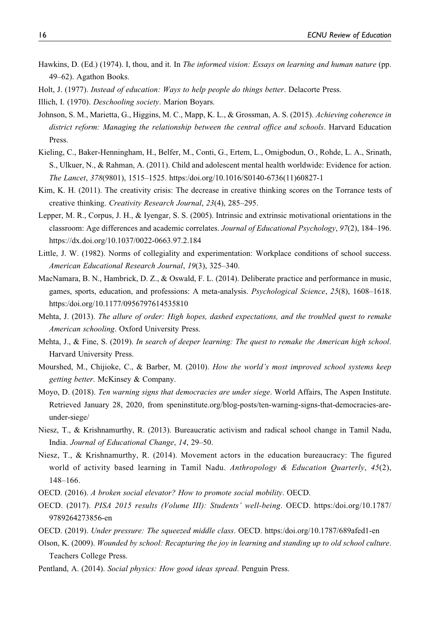- Hawkins, D. (Ed.) (1974). I, thou, and it. In The informed vision: Essays on learning and human nature (pp. 49–62). Agathon Books.
- Holt, J. (1977). Instead of education: Ways to help people do things better. Delacorte Press.
- Illich, I. (1970). Deschooling society. Marion Boyars.
- Johnson, S. M., Marietta, G., Higgins, M. C., Mapp, K. L., & Grossman, A. S. (2015). Achieving coherence in district reform: Managing the relationship between the central office and schools. Harvard Education Press.
- Kieling, C., Baker-Henningham, H., Belfer, M., Conti, G., Ertem, L., Omigbodun, O., Rohde, L. A., Srinath, S., Ulkuer, N., & Rahman, A. (2011). Child and adolescent mental health worldwide: Evidence for action. The Lancet, 378(9801), 1515–1525. [https:/doi.org/10.1016/S0140-6736\(11\)60827-1](https:/doi.org/10.1016/S0140-6736(11)60827-1)
- Kim, K. H. (2011). The creativity crisis: The decrease in creative thinking scores on the Torrance tests of creative thinking. Creativity Research Journal, 23(4), 285–295.
- Lepper, M. R., Corpus, J. H., & Iyengar, S. S. (2005). Intrinsic and extrinsic motivational orientations in the classroom: Age differences and academic correlates. Journal of Educational Psychology, 97(2), 184-196. <https://dx.doi.org/10.1037/0022-0663.97.2.184>
- Little, J. W. (1982). Norms of collegiality and experimentation: Workplace conditions of school success. American Educational Research Journal, 19(3), 325–340.
- MacNamara, B. N., Hambrick, D. Z., & Oswald, F. L. (2014). Deliberate practice and performance in music, games, sports, education, and professions: A meta-analysis. Psychological Science, 25(8), 1608–1618. <https:/doi.org/10.1177/0956797614535810>
- Mehta, J. (2013). The allure of order: High hopes, dashed expectations, and the troubled quest to remake American schooling. Oxford University Press.
- Mehta, J., & Fine, S. (2019). In search of deeper learning: The quest to remake the American high school. Harvard University Press.
- Mourshed, M., Chijioke, C., & Barber, M. (2010). How the world's most improved school systems keep getting better. McKinsey & Company.
- Moyo, D. (2018). Ten warning signs that democracies are under siege. World Affairs, The Aspen Institute. Retrieved January 28, 2020, from [speninstitute.org/blog-posts/ten-warning-signs-that-democracies-are](http://speninstitute.org/blog-posts/ten-warning-signs-that-democracies-are-under-siege/)[under-siege/](http://speninstitute.org/blog-posts/ten-warning-signs-that-democracies-are-under-siege/)
- Niesz, T., & Krishnamurthy, R. (2013). Bureaucratic activism and radical school change in Tamil Nadu, India. Journal of Educational Change, 14, 29–50.
- Niesz, T., & Krishnamurthy, R. (2014). Movement actors in the education bureaucracy: The figured world of activity based learning in Tamil Nadu. Anthropology  $\&$  Education Quarterly, 45(2), 148–166.
- OECD. (2016). A broken social elevator? How to promote social mobility. OECD.
- OECD. (2017). PISA 2015 results (Volume III): Students' well-being. OECD. [https:/doi.org/10.1787/](https:/doi.org/10.1787/9789264273856-en) [9789264273856-en](https:/doi.org/10.1787/9789264273856-en)
- OECD. (2019). Under pressure: The squeezed middle class. OECD. [https:/doi.org/10.1787/689afed1-en](https:/doi.org/10.1787/9789264273856-en)
- Olson, K. (2009). Wounded by school: Recapturing the joy in learning and standing up to old school culture. Teachers College Press.
- Pentland, A. (2014). Social physics: How good ideas spread. Penguin Press.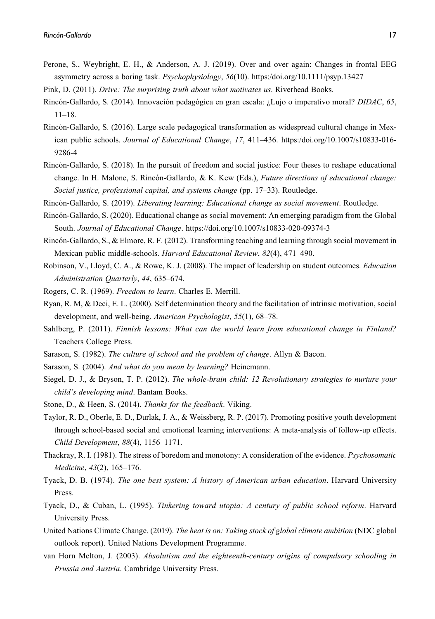- Perone, S., Weybright, E. H., & Anderson, A. J. (2019). Over and over again: Changes in frontal EEG asymmetry across a boring task. Psychophysiology, 56(10). [https:/doi.org/10.1111/psyp.13427](10.1111/psyp.13427)
- Pink, D. (2011). Drive: The surprising truth about what motivates us. Riverhead Books.
- Rincón-Gallardo, S. (2014). Innovación pedagógica en gran escala: ¿Lujo o imperativo moral? DIDAC, 65, 11–18.
- Rincón-Gallardo, S. (2016). Large scale pedagogical transformation as widespread cultural change in Mexican public schools. Journal of Educational Change, 17, 411–436. [https:/doi.org/10.1007/s10833-016-](https:/doi.org/10.1007/s10833-016-9286-4) [9286-4](https:/doi.org/10.1007/s10833-016-9286-4)
- Rincón-Gallardo, S. (2018). In the pursuit of freedom and social justice: Four theses to reshape educational change. In H. Malone, S. Rincón-Gallardo, & K. Kew (Eds.), Future directions of educational change: Social justice, professional capital, and systems change (pp. 17–33). Routledge.
- Rincón-Gallardo, S. (2019). Liberating learning: Educational change as social movement. Routledge.
- Rincón-Gallardo, S. (2020). Educational change as social movement: An emerging paradigm from the Global South. Journal of Educational Change.<https://doi.org/10.1007/s10833-020-09374-3>
- Rinc on-Gallardo, S., & Elmore, R. F. (2012). Transforming teaching and learning through social movement in Mexican public middle-schools. Harvard Educational Review, 82(4), 471–490.
- Robinson, V., Lloyd, C. A., & Rowe, K. J. (2008). The impact of leadership on student outcomes. Education Administration Quarterly, 44, 635–674.
- Rogers, C. R. (1969). Freedom to learn. Charles E. Merrill.
- Ryan, R. M, & Deci, E. L. (2000). Self determination theory and the facilitation of intrinsic motivation, social development, and well-being. American Psychologist, 55(1), 68–78.
- Sahlberg, P. (2011). Finnish lessons: What can the world learn from educational change in Finland? Teachers College Press.
- Sarason, S. (1982). The culture of school and the problem of change. Allyn & Bacon.
- Sarason, S. (2004). And what do you mean by learning? Heinemann.
- Siegel, D. J., & Bryson, T. P. (2012). The whole-brain child: 12 Revolutionary strategies to nurture your child's developing mind. Bantam Books.
- Stone, D., & Heen, S. (2014). Thanks for the feedback. Viking.
- Taylor, R. D., Oberle, E. D., Durlak, J. A., & Weissberg, R. P. (2017). Promoting positive youth development through school-based social and emotional learning interventions: A meta-analysis of follow-up effects. Child Development, 88(4), 1156–1171.
- Thackray, R. I. (1981). The stress of boredom and monotony: A consideration of the evidence. Psychosomatic Medicine, 43(2), 165–176.
- Tyack, D. B. (1974). The one best system: A history of American urban education. Harvard University Press.
- Tyack, D., & Cuban, L. (1995). Tinkering toward utopia: A century of public school reform. Harvard University Press.
- United Nations Climate Change. (2019). The heat is on: Taking stock of global climate ambition (NDC global outlook report). United Nations Development Programme.
- van Horn Melton, J. (2003). Absolutism and the eighteenth-century origins of compulsory schooling in Prussia and Austria. Cambridge University Press.